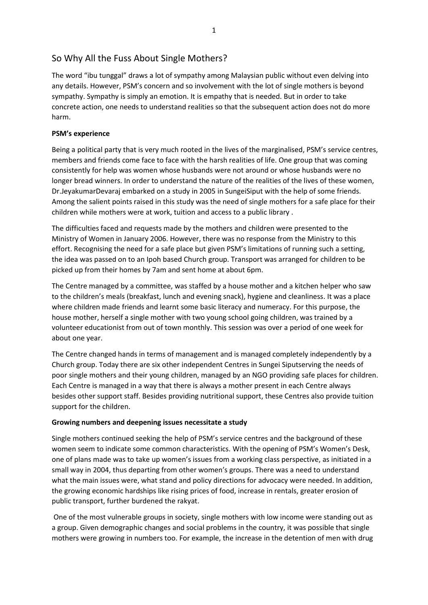# So Why All the Fuss About Single Mothers?

The word "ibu tunggal" draws a lot of sympathy among Malaysian public without even delving into any details. However, PSM's concern and so involvement with the lot of single mothers is beyond sympathy. Sympathy is simply an emotion. It is empathy that is needed. But in order to take concrete action, one needs to understand realities so that the subsequent action does not do more harm.

# **PSM's experience**

Being a political party that is very much rooted in the lives of the marginalised, PSM's service centres, members and friends come face to face with the harsh realities of life. One group that was coming consistently for help was women whose husbands were not around or whose husbands were no longer bread winners. In order to understand the nature of the realities of the lives of these women, Dr.JeyakumarDevaraj embarked on a study in 2005 in SungeiSiput with the help of some friends. Among the salient points raised in this study was the need of single mothers for a safe place for their children while mothers were at work, tuition and access to a public library .

The difficulties faced and requests made by the mothers and children were presented to the Ministry of Women in January 2006. However, there was no response from the Ministry to this effort. Recognising the need for a safe place but given PSM's limitations of running such a setting, the idea was passed on to an Ipoh based Church group. Transport was arranged for children to be picked up from their homes by 7am and sent home at about 6pm.

The Centre managed by a committee, was staffed by a house mother and a kitchen helper who saw to the children's meals (breakfast, lunch and evening snack), hygiene and cleanliness. It was a place where children made friends and learnt some basic literacy and numeracy. For this purpose, the house mother, herself a single mother with two young school going children, was trained by a volunteer educationist from out of town monthly. This session was over a period of one week for about one year.

The Centre changed hands in terms of management and is managed completely independently by a Church group. Today there are six other independent Centres in Sungei Siputserving the needs of poor single mothers and their young children, managed by an NGO providing safe places for children. Each Centre is managed in a way that there is always a mother present in each Centre always besides other support staff. Besides providing nutritional support, these Centres also provide tuition support for the children.

## **Growing numbers and deepening issues necessitate a study**

Single mothers continued seeking the help of PSM's service centres and the background of these women seem to indicate some common characteristics. With the opening of PSM's Women's Desk, one of plans made was to take up women's issues from a working class perspective, as initiated in a small way in 2004, thus departing from other women's groups. There was a need to understand what the main issues were, what stand and policy directions for advocacy were needed. In addition, the growing economic hardships like rising prices of food, increase in rentals, greater erosion of public transport, further burdened the rakyat.

One of the most vulnerable groups in society, single mothers with low income were standing out as a group. Given demographic changes and social problems in the country, it was possible that single mothers were growing in numbers too. For example, the increase in the detention of men with drug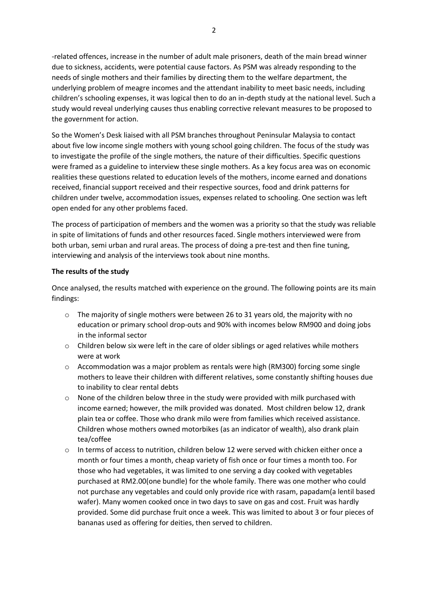-related offences, increase in the number of adult male prisoners, death of the main bread winner due to sickness, accidents, were potential cause factors. As PSM was already responding to the needs of single mothers and their families by directing them to the welfare department, the underlying problem of meagre incomes and the attendant inability to meet basic needs, including children's schooling expenses, it was logical then to do an in-depth study at the national level. Such a study would reveal underlying causes thus enabling corrective relevant measures to be proposed to the government for action.

So the Women's Desk liaised with all PSM branches throughout Peninsular Malaysia to contact about five low income single mothers with young school going children. The focus of the study was to investigate the profile of the single mothers, the nature of their difficulties. Specific questions were framed as a guideline to interview these single mothers. As a key focus area was on economic realities these questions related to education levels of the mothers, income earned and donations received, financial support received and their respective sources, food and drink patterns for children under twelve, accommodation issues, expenses related to schooling. One section was left open ended for any other problems faced.

The process of participation of members and the women was a priority so that the study was reliable in spite of limitations of funds and other resources faced. Single mothers interviewed were from both urban, semi urban and rural areas. The process of doing a pre-test and then fine tuning, interviewing and analysis of the interviews took about nine months.

### **The results of the study**

Once analysed, the results matched with experience on the ground. The following points are its main findings:

- $\circ$  The majority of single mothers were between 26 to 31 years old, the majority with no education or primary school drop-outs and 90% with incomes below RM900 and doing jobs in the informal sector
- $\circ$  Children below six were left in the care of older siblings or aged relatives while mothers were at work
- $\circ$  Accommodation was a major problem as rentals were high (RM300) forcing some single mothers to leave their children with different relatives, some constantly shifting houses due to inability to clear rental debts
- $\circ$  None of the children below three in the study were provided with milk purchased with income earned; however, the milk provided was donated. Most children below 12, drank plain tea or coffee. Those who drank milo were from families which received assistance. Children whose mothers owned motorbikes (as an indicator of wealth), also drank plain tea/coffee
- o In terms of access to nutrition, children below 12 were served with chicken either once a month or four times a month, cheap variety of fish once or four times a month too. For those who had vegetables, it was limited to one serving a day cooked with vegetables purchased at RM2.00(one bundle) for the whole family. There was one mother who could not purchase any vegetables and could only provide rice with rasam, papadam(a lentil based wafer). Many women cooked once in two days to save on gas and cost. Fruit was hardly provided. Some did purchase fruit once a week. This was limited to about 3 or four pieces of bananas used as offering for deities, then served to children.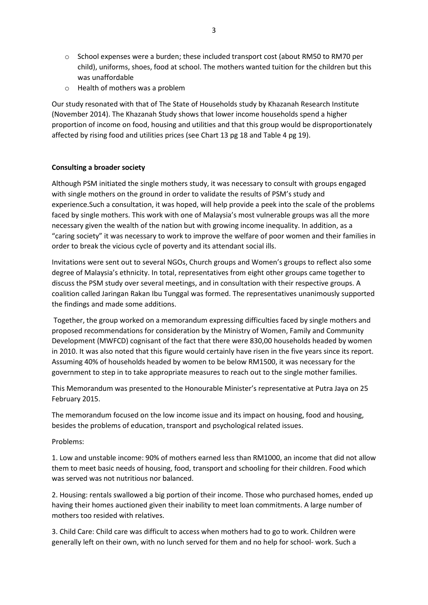- o School expenses were a burden; these included transport cost (about RM50 to RM70 per child), uniforms, shoes, food at school. The mothers wanted tuition for the children but this was unaffordable
- o Health of mothers was a problem

Our study resonated with that of The State of Households study by Khazanah Research Institute (November 2014). The Khazanah Study shows that lower income households spend a higher proportion of income on food, housing and utilities and that this group would be disproportionately affected by rising food and utilities prices (see Chart 13 pg 18 and Table 4 pg 19).

## **Consulting a broader society**

Although PSM initiated the single mothers study, it was necessary to consult with groups engaged with single mothers on the ground in order to validate the results of PSM's study and experience.Such a consultation, it was hoped, will help provide a peek into the scale of the problems faced by single mothers. This work with one of Malaysia's most vulnerable groups was all the more necessary given the wealth of the nation but with growing income inequality. In addition, as a "caring society" it was necessary to work to improve the welfare of poor women and their families in order to break the vicious cycle of poverty and its attendant social ills.

Invitations were sent out to several NGOs, Church groups and Women's groups to reflect also some degree of Malaysia's ethnicity. In total, representatives from eight other groups came together to discuss the PSM study over several meetings, and in consultation with their respective groups. A coalition called Jaringan Rakan Ibu Tunggal was formed. The representatives unanimously supported the findings and made some additions.

Together, the group worked on a memorandum expressing difficulties faced by single mothers and proposed recommendations for consideration by the Ministry of Women, Family and Community Development (MWFCD) cognisant of the fact that there were 830,00 households headed by women in 2010. It was also noted that this figure would certainly have risen in the five years since its report. Assuming 40% of households headed by women to be below RM1500, it was necessary for the government to step in to take appropriate measures to reach out to the single mother families.

This Memorandum was presented to the Honourable Minister's representative at Putra Jaya on 25 February 2015.

The memorandum focused on the low income issue and its impact on housing, food and housing, besides the problems of education, transport and psychological related issues.

### Problems:

1. Low and unstable income: 90% of mothers earned less than RM1000, an income that did not allow them to meet basic needs of housing, food, transport and schooling for their children. Food which was served was not nutritious nor balanced.

2. Housing: rentals swallowed a big portion of their income. Those who purchased homes, ended up having their homes auctioned given their inability to meet loan commitments. A large number of mothers too resided with relatives.

3. Child Care: Child care was difficult to access when mothers had to go to work. Children were generally left on their own, with no lunch served for them and no help for school- work. Such a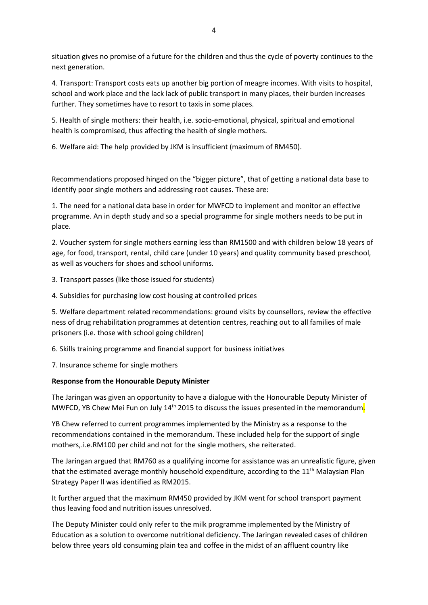situation gives no promise of a future for the children and thus the cycle of poverty continues to the next generation.

4. Transport: Transport costs eats up another big portion of meagre incomes. With visits to hospital, school and work place and the lack lack of public transport in many places, their burden increases further. They sometimes have to resort to taxis in some places.

5. Health of single mothers: their health, i.e. socio-emotional, physical, spiritual and emotional health is compromised, thus affecting the health of single mothers.

6. Welfare aid: The help provided by JKM is insufficient (maximum of RM450).

Recommendations proposed hinged on the "bigger picture", that of getting a national data base to identify poor single mothers and addressing root causes. These are:

1. The need for a national data base in order for MWFCD to implement and monitor an effective programme. An in depth study and so a special programme for single mothers needs to be put in place.

2. Voucher system for single mothers earning less than RM1500 and with children below 18 years of age, for food, transport, rental, child care (under 10 years) and quality community based preschool, as well as vouchers for shoes and school uniforms.

3. Transport passes (like those issued for students)

4. Subsidies for purchasing low cost housing at controlled prices

5. Welfare department related recommendations: ground visits by counsellors, review the effective ness of drug rehabilitation programmes at detention centres, reaching out to all families of male prisoners (i.e. those with school going children)

6. Skills training programme and financial support for business initiatives

7. Insurance scheme for single mothers

### **Response from the Honourable Deputy Minister**

The Jaringan was given an opportunity to have a dialogue with the Honourable Deputy Minister of MWFCD, YB Chew Mei Fun on July 14<sup>th</sup> 2015 to discuss the issues presented in the memorandum.

YB Chew referred to current programmes implemented by the Ministry as a response to the recommendations contained in the memorandum. These included help for the support of single mothers,.i.e.RM100 per child and not for the single mothers, she reiterated.

The Jaringan argued that RM760 as a qualifying income for assistance was an unrealistic figure, given that the estimated average monthly household expenditure, according to the  $11<sup>th</sup>$  Malaysian Plan Strategy Paper ll was identified as RM2015.

It further argued that the maximum RM450 provided by JKM went for school transport payment thus leaving food and nutrition issues unresolved.

The Deputy Minister could only refer to the milk programme implemented by the Ministry of Education as a solution to overcome nutritional deficiency. The Jaringan revealed cases of children below three years old consuming plain tea and coffee in the midst of an affluent country like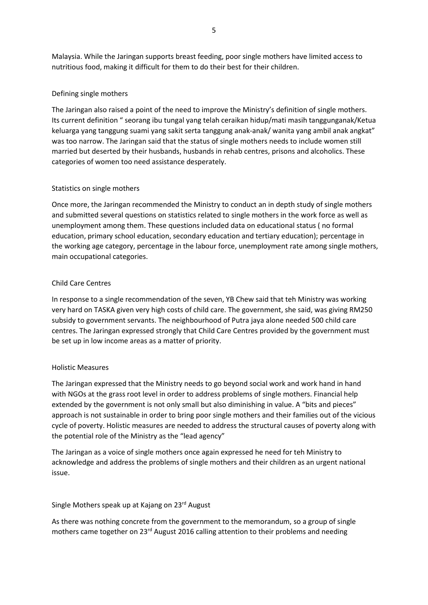Malaysia. While the Jaringan supports breast feeding, poor single mothers have limited access to nutritious food, making it difficult for them to do their best for their children.

## Defining single mothers

The Jaringan also raised a point of the need to improve the Ministry's definition of single mothers. Its current definition " seorang ibu tungal yang telah ceraikan hidup/mati masih tanggunganak/Ketua keluarga yang tanggung suami yang sakit serta tanggung anak-anak/ wanita yang ambil anak angkat" was too narrow. The Jaringan said that the status of single mothers needs to include women still married but deserted by their husbands, husbands in rehab centres, prisons and alcoholics. These categories of women too need assistance desperately.

## Statistics on single mothers

Once more, the Jaringan recommended the Ministry to conduct an in depth study of single mothers and submitted several questions on statistics related to single mothers in the work force as well as unemployment among them. These questions included data on educational status ( no formal education, primary school education, secondary education and tertiary education); percentage in the working age category, percentage in the labour force, unemployment rate among single mothers, main occupational categories.

## Child Care Centres

In response to a single recommendation of the seven, YB Chew said that teh Ministry was working very hard on TASKA given very high costs of child care. The government, she said, was giving RM250 subsidy to government servants. The neighbourhood of Putra jaya alone needed 500 child care centres. The Jaringan expressed strongly that Child Care Centres provided by the government must be set up in low income areas as a matter of priority.

### Holistic Measures

The Jaringan expressed that the Ministry needs to go beyond social work and work hand in hand with NGOs at the grass root level in order to address problems of single mothers. Financial help extended by the government is not only small but also diminishing in value. A "bits and pieces" approach is not sustainable in order to bring poor single mothers and their families out of the vicious cycle of poverty. Holistic measures are needed to address the structural causes of poverty along with the potential role of the Ministry as the "lead agency"

The Jaringan as a voice of single mothers once again expressed he need for teh Ministry to acknowledge and address the problems of single mothers and their children as an urgent national issue.

### Single Mothers speak up at Kajang on  $23<sup>rd</sup>$  August

As there was nothing concrete from the government to the memorandum, so a group of single mothers came together on 23<sup>rd</sup> August 2016 calling attention to their problems and needing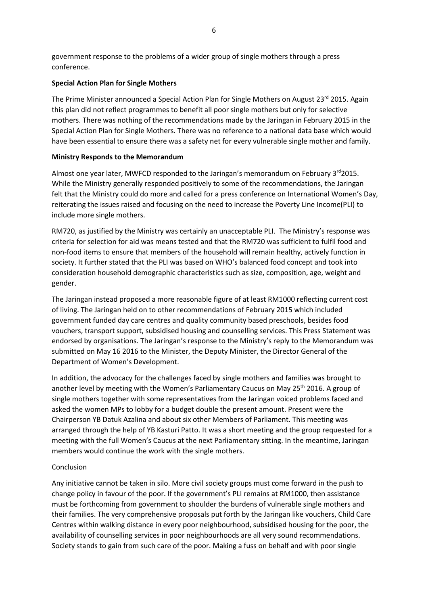government response to the problems of a wider group of single mothers through a press conference.

## **Special Action Plan for Single Mothers**

The Prime Minister announced a Special Action Plan for Single Mothers on August 23rd 2015. Again this plan did not reflect programmes to benefit all poor single mothers but only for selective mothers. There was nothing of the recommendations made by the Jaringan in February 2015 in the Special Action Plan for Single Mothers. There was no reference to a national data base which would have been essential to ensure there was a safety net for every vulnerable single mother and family.

## **Ministry Responds to the Memorandum**

Almost one year later, MWFCD responded to the Jaringan's memorandum on February  $3^{rd}$ 2015. While the Ministry generally responded positively to some of the recommendations, the Jaringan felt that the Ministry could do more and called for a press conference on International Women's Day, reiterating the issues raised and focusing on the need to increase the Poverty Line Income(PLI) to include more single mothers.

RM720, as justified by the Ministry was certainly an unacceptable PLI. The Ministry's response was criteria for selection for aid was means tested and that the RM720 was sufficient to fulfil food and non-food items to ensure that members of the household will remain healthy, actively function in society. It further stated that the PLI was based on WHO's balanced food concept and took into consideration household demographic characteristics such as size, composition, age, weight and gender.

The Jaringan instead proposed a more reasonable figure of at least RM1000 reflecting current cost of living. The Jaringan held on to other recommendations of February 2015 which included government funded day care centres and quality community based preschools, besides food vouchers, transport support, subsidised housing and counselling services. This Press Statement was endorsed by organisations. The Jaringan's response to the Ministry's reply to the Memorandum was submitted on May 16 2016 to the Minister, the Deputy Minister, the Director General of the Department of Women's Development.

In addition, the advocacy for the challenges faced by single mothers and families was brought to another level by meeting with the Women's Parliamentary Caucus on May 25<sup>th</sup> 2016. A group of single mothers together with some representatives from the Jaringan voiced problems faced and asked the women MPs to lobby for a budget double the present amount. Present were the Chairperson YB Datuk Azalina and about six other Members of Parliament. This meeting was arranged through the help of YB Kasturi Patto. It was a short meeting and the group requested for a meeting with the full Women's Caucus at the next Parliamentary sitting. In the meantime, Jaringan members would continue the work with the single mothers.

### Conclusion

Any initiative cannot be taken in silo. More civil society groups must come forward in the push to change policy in favour of the poor. If the government's PLI remains at RM1000, then assistance must be forthcoming from government to shoulder the burdens of vulnerable single mothers and their families. The very comprehensive proposals put forth by the Jaringan like vouchers, Child Care Centres within walking distance in every poor neighbourhood, subsidised housing for the poor, the availability of counselling services in poor neighbourhoods are all very sound recommendations. Society stands to gain from such care of the poor. Making a fuss on behalf and with poor single